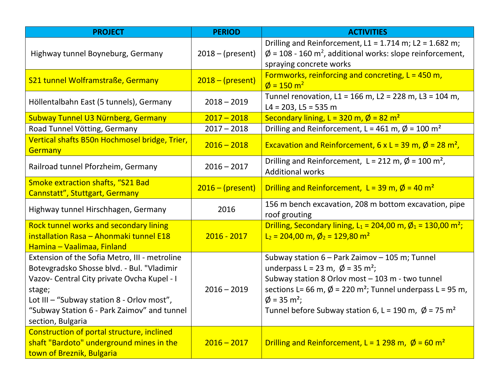| <b>PROJECT</b>                                                                                                                                                                                                                                                         | <b>PERIOD</b>      | <b>ACTIVITIES</b>                                                                                                                                                                                                                                                                                                                                                |
|------------------------------------------------------------------------------------------------------------------------------------------------------------------------------------------------------------------------------------------------------------------------|--------------------|------------------------------------------------------------------------------------------------------------------------------------------------------------------------------------------------------------------------------------------------------------------------------------------------------------------------------------------------------------------|
| Highway tunnel Boyneburg, Germany                                                                                                                                                                                                                                      | $2018 - (present)$ | Drilling and Reinforcement, $L1 = 1.714$ m; $L2 = 1.682$ m;<br>$\phi$ = 108 - 160 m <sup>2</sup> , additional works: slope reinforcement,<br>spraying concrete works                                                                                                                                                                                             |
| S21 tunnel Wolframstraße, Germany                                                                                                                                                                                                                                      | $2018 - (present)$ | Formworks, reinforcing and concreting, $L = 450$ m,<br>$\phi = 150 \text{ m}^2$                                                                                                                                                                                                                                                                                  |
| Höllentalbahn East (5 tunnels), Germany                                                                                                                                                                                                                                | $2018 - 2019$      | Tunnel renovation, L1 = 166 m, L2 = 228 m, L3 = 104 m,<br>$L4 = 203, L5 = 535$ m                                                                                                                                                                                                                                                                                 |
| Subway Tunnel U3 Nürnberg, Germany                                                                                                                                                                                                                                     | $2017 - 2018$      | Secondary lining, L = 320 m, $\phi$ = 82 m <sup>2</sup>                                                                                                                                                                                                                                                                                                          |
| Road Tunnel Vötting, Germany                                                                                                                                                                                                                                           | $2017 - 2018$      | Drilling and Reinforcement, L = 461 m, $\phi$ = 100 m <sup>2</sup>                                                                                                                                                                                                                                                                                               |
| Vertical shafts B50n Hochmosel bridge, Trier,<br><b>Germany</b>                                                                                                                                                                                                        | $2016 - 2018$      | Excavation and Reinforcement, 6 x L = 39 m, $\phi$ = 28 m <sup>2</sup> ,                                                                                                                                                                                                                                                                                         |
| Railroad tunnel Pforzheim, Germany                                                                                                                                                                                                                                     | $2016 - 2017$      | Drilling and Reinforcement, L = 212 m, $\phi$ = 100 m <sup>2</sup> ,<br><b>Additional works</b>                                                                                                                                                                                                                                                                  |
| <b>Smoke extraction shafts, "S21 Bad</b><br>Cannstatt", Stuttgart, Germany                                                                                                                                                                                             | $2016 - (present)$ | Drilling and Reinforcement, L = 39 m, $\phi$ = 40 m <sup>2</sup>                                                                                                                                                                                                                                                                                                 |
| Highway tunnel Hirschhagen, Germany                                                                                                                                                                                                                                    | 2016               | 156 m bench excavation, 208 m bottom excavation, pipe<br>roof grouting                                                                                                                                                                                                                                                                                           |
| <b>Rock tunnel works and secondary lining</b><br>installation Rasa - Ahonmaki tunnel E18<br>Hamina – Vaalimaa, Finland                                                                                                                                                 | $2016 - 2017$      | Drilling, Secondary lining, $L_1 = 204,00$ m, $\phi_1 = 130,00$ m <sup>2</sup> ;<br>$L_2 = 204,00 \text{ m}, \cancel{0}_2 = 129,80 \text{ m}^2$                                                                                                                                                                                                                  |
| Extension of the Sofia Metro, III - metroline<br>Botevgradsko Shosse blvd. - Bul. "Vladimir<br>Vazov- Central City private Ovcha Kupel - I<br>stage;<br>Lot III – "Subway station 8 - Orlov most",<br>"Subway Station 6 - Park Zaimov" and tunnel<br>section, Bulgaria | $2016 - 2019$      | Subway station 6 - Park Zaimov - 105 m; Tunnel<br>underpass L = 23 m, $\varnothing$ = 35 m <sup>2</sup> ;<br>Subway station 8 Orlov most - 103 m - two tunnel<br>sections L= 66 m, $\varnothing$ = 220 m <sup>2</sup> ; Tunnel underpass L = 95 m,<br>$\phi$ = 35 m <sup>2</sup> ;<br>Tunnel before Subway station 6, L = 190 m, $\emptyset$ = 75 m <sup>2</sup> |
| Construction of portal structure, inclined<br>shaft "Bardoto" underground mines in the<br>town of Breznik, Bulgaria                                                                                                                                                    | $2016 - 2017$      | Drilling and Reinforcement, L = 1 298 m, $\phi$ = 60 m <sup>2</sup>                                                                                                                                                                                                                                                                                              |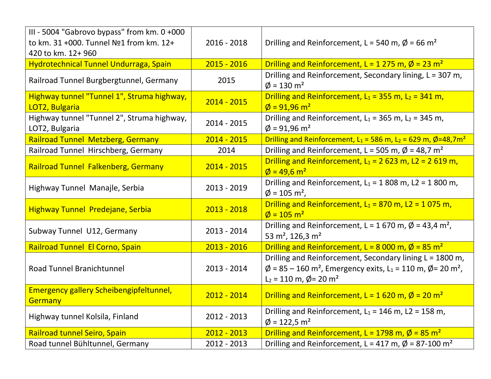| III - 5004 "Gabrovo bypass" from km. 0 +000<br>to km. 31 +000. Tunnel Nº1 from km. 12+<br>420 to km. 12+ 960 | $2016 - 2018$ | Drilling and Reinforcement, L = 540 m, $\phi$ = 66 m <sup>2</sup>                                                                                                                                                           |
|--------------------------------------------------------------------------------------------------------------|---------------|-----------------------------------------------------------------------------------------------------------------------------------------------------------------------------------------------------------------------------|
| Hydrotechnical Tunnel Undurraga, Spain                                                                       | $2015 - 2016$ | Drilling and Reinforcement, L = 1 275 m, $\varnothing$ = 23 m <sup>2</sup>                                                                                                                                                  |
| Railroad Tunnel Burgbergtunnel, Germany                                                                      | 2015          | Drilling and Reinforcement, Secondary lining, L = 307 m,<br>$\phi$ = 130 m <sup>2</sup>                                                                                                                                     |
| Highway tunnel "Tunnel 1", Struma highway,<br>LOT2, Bulgaria                                                 | $2014 - 2015$ | Drilling and Reinforcement, $L_1 = 355$ m, $L_2 = 341$ m,<br>$\phi$ = 91,96 m <sup>2</sup>                                                                                                                                  |
| Highway tunnel "Tunnel 2", Struma highway,<br>LOT2, Bulgaria                                                 | $2014 - 2015$ | Drilling and Reinforcement, $L_1 = 365$ m, $L_2 = 345$ m,<br>$\phi$ = 91,96 m <sup>2</sup>                                                                                                                                  |
| <b>Railroad Tunnel Metzberg, Germany</b>                                                                     | $2014 - 2015$ | Drilling and Reinforcement, $L_1 = 586$ m, $L_2 = 629$ m, $\phi = 48.7$ m <sup>2</sup>                                                                                                                                      |
| Railroad Tunnel Hirschberg, Germany                                                                          | 2014          | Drilling and Reinforcement, L = 505 m, $\varnothing$ = 48,7 m <sup>2</sup>                                                                                                                                                  |
| Railroad Tunnel Falkenberg, Germany                                                                          | $2014 - 2015$ | Drilling and Reinforcement, $L_1 = 2623$ m, L2 = 2619 m,<br>$\phi = 49.6$ m <sup>2</sup>                                                                                                                                    |
| Highway Tunnel Manajle, Serbia                                                                               | $2013 - 2019$ | Drilling and Reinforcement, $L_1 = 1808$ m, L2 = 1800 m,<br>$\phi$ = 105 m <sup>2</sup> .                                                                                                                                   |
| <b>Highway Tunnel Predejane, Serbia</b>                                                                      | $2013 - 2018$ | Drilling and Reinforcement, $L_1 = 870$ m, L2 = 1075 m,<br>$\phi$ = 105 m <sup>2</sup>                                                                                                                                      |
| Subway Tunnel U12, Germany                                                                                   | $2013 - 2014$ | Drilling and Reinforcement, L = 1 670 m, $\phi$ = 43,4 m <sup>2</sup> ,<br>53 m <sup>2</sup> , 126,3 m <sup>2</sup>                                                                                                         |
| Railroad Tunnel El Corno, Spain                                                                              | $2013 - 2016$ | Drilling and Reinforcement, L = 8 000 m, $\varnothing$ = 85 m <sup>2</sup>                                                                                                                                                  |
| <b>Road Tunnel Branichtunnel</b>                                                                             | $2013 - 2014$ | Drilling and Reinforcement, Secondary lining L = 1800 m,<br>$\emptyset$ = 85 – 160 m <sup>2</sup> , Emergency exits, L <sub>1</sub> = 110 m, $\emptyset$ = 20 m <sup>2</sup> ,<br>$L_2 = 110$ m, $\phi = 20$ m <sup>2</sup> |
| <b>Emergency gallery Scheibengipfeltunnel,</b><br>Germany                                                    | $2012 - 2014$ | Drilling and Reinforcement, $L = 1620$ m, $\phi = 20$ m <sup>2</sup>                                                                                                                                                        |
| Highway tunnel Kolsila, Finland                                                                              | 2012 - 2013   | Drilling and Reinforcement, $L_1 = 146$ m, L2 = 158 m,<br>$\phi$ = 122,5 m <sup>2</sup>                                                                                                                                     |
| Railroad tunnel Seiro, Spain                                                                                 | $2012 - 2013$ | Drilling and Reinforcement, L = 1798 m, $\varnothing$ = 85 m <sup>2</sup>                                                                                                                                                   |
| Road tunnel Bühltunnel, Germany                                                                              | 2012 - 2013   | Drilling and Reinforcement, L = 417 m, $\varnothing$ = 87-100 m <sup>2</sup>                                                                                                                                                |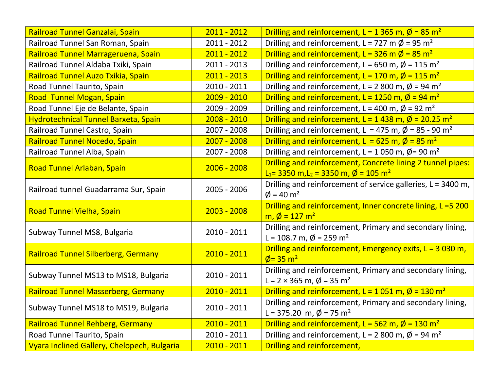| Railroad Tunnel Ganzalai, Spain             | $2011 - 2012$ | Drilling and reinforcement, L = 1 365 m, $\phi$ = 85 m <sup>2</sup>                                                      |
|---------------------------------------------|---------------|--------------------------------------------------------------------------------------------------------------------------|
| Railroad Tunnel San Roman, Spain            | 2011 - 2012   | Drilling and reinforcement, L = 727 m $\emptyset$ = 95 m <sup>2</sup>                                                    |
| Railroad Tunnel Marrageruena, Spain         | $2011 - 2012$ | Drilling and reinforcement, L = 326 m $\emptyset$ = 85 m <sup>2</sup>                                                    |
| Railroad Tunnel Aldaba Txiki, Spain         | 2011 - 2013   | Drilling and reinforcement, L = 650 m, $\phi$ = 115 m <sup>2</sup>                                                       |
| Railroad Tunnel Auzo Txikia, Spain          | $2011 - 2013$ | Drilling and reinforcement, L = 170 m, $\varnothing$ = 115 m <sup>2</sup>                                                |
| Road Tunnel Taurito, Spain                  | 2010 - 2011   | Drilling and reinforcement, L = 2 800 m, $\phi$ = 94 m <sup>2</sup>                                                      |
| Road Tunnel Mogan, Spain                    | $2009 - 2010$ | Drilling and reinforcement, L = 1250 m, $\varnothing$ = 94 m <sup>2</sup>                                                |
| Road Tunnel Eje de Belante, Spain           | 2009 - 2009   | Drilling and reinforcement, L = 400 m, $\phi$ = 92 m <sup>2</sup>                                                        |
| Hydrotechnical Tunnel Barxeta, Spain        | $2008 - 2010$ | Drilling and reinforcement, L = 1 438 m, $\phi$ = 20.25 m <sup>2</sup>                                                   |
| Railroad Tunnel Castro, Spain               | 2007 - 2008   | Drilling and reinforcement, L = 475 m, $\varnothing$ = 85 - 90 m <sup>2</sup>                                            |
| Railroad Tunnel Nocedo, Spain               | $2007 - 2008$ | Drilling and reinforcement, L = 625 m, $\varnothing$ = 85 m <sup>2</sup>                                                 |
| Railroad Tunnel Alba, Spain                 | 2007 - 2008   | Drilling and reinforcement, L = 1 050 m, $\phi$ = 90 m <sup>2</sup>                                                      |
| Road Tunnel Arlaban, Spain                  | $2006 - 2008$ | Drilling and reinforcement, Concrete lining 2 tunnel pipes:                                                              |
|                                             |               | $L_1$ = 3350 m, L <sub>2</sub> = 3350 m, $\phi$ = 105 m <sup>2</sup>                                                     |
| Railroad tunnel Guadarrama Sur, Spain       | 2005 - 2006   | Drilling and reinforcement of service galleries, L = 3400 m,<br>$\phi = 40 \text{ m}^2$                                  |
|                                             |               | Drilling and reinforcement, Inner concrete lining, L = 5 200                                                             |
| <b>Road Tunnel Vielha, Spain</b>            | $2003 - 2008$ | $m, \phi = 127 \text{ m}^2$                                                                                              |
| Subway Tunnel MS8, Bulgaria                 | $2010 - 2011$ | Drilling and reinforcement, Primary and secondary lining,<br>L = 108.7 m, $\phi$ = 259 m <sup>2</sup>                    |
|                                             |               | Drilling and reinforcement, Emergency exits, $L = 3030$ m,                                                               |
| <b>Railroad Tunnel Silberberg, Germany</b>  | $2010 - 2011$ | $\phi$ = 35 m <sup>2</sup>                                                                                               |
| Subway Tunnel MS13 to MS18, Bulgaria        | $2010 - 2011$ | Drilling and reinforcement, Primary and secondary lining,                                                                |
| Railroad Tunnel Masserberg, Germany         | $2010 - 2011$ | L = 2 × 365 m, $\phi$ = 35 m <sup>2</sup><br>Drilling and reinforcement, L = 1 051 m, $\varnothing$ = 130 m <sup>2</sup> |
|                                             |               |                                                                                                                          |
| Subway Tunnel MS18 to MS19, Bulgaria        | $2010 - 2011$ | Drilling and reinforcement, Primary and secondary lining,<br>L = 375.20 m, $\phi$ = 75 m <sup>2</sup>                    |
| <b>Railroad Tunnel Rehberg, Germany</b>     | $2010 - 2011$ | Drilling and reinforcement, L = 562 m, $\varnothing$ = 130 m <sup>2</sup>                                                |
| Road Tunnel Taurito, Spain                  | $2010 - 2011$ | Drilling and reinforcement, L = 2 800 m, $\phi$ = 94 m <sup>2</sup>                                                      |
| Vyara Inclined Gallery, Chelopech, Bulgaria | $2010 - 2011$ | Drilling and reinforcement,                                                                                              |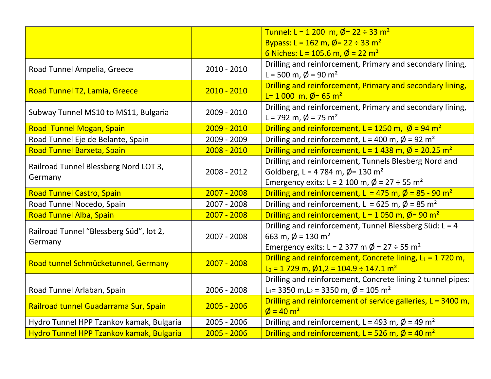|                                                    |               | Tunnel: L = 1 200 m, $\phi$ = 22 ÷ 33 m <sup>2</sup>                                                                                                                         |
|----------------------------------------------------|---------------|------------------------------------------------------------------------------------------------------------------------------------------------------------------------------|
|                                                    |               | Bypass: L = 162 m, $\phi$ = 22 ÷ 33 m <sup>2</sup><br>6 Niches: L = 105.6 m, $\phi$ = 22 m <sup>2</sup>                                                                      |
| Road Tunnel Ampelia, Greece                        | $2010 - 2010$ | Drilling and reinforcement, Primary and secondary lining,<br>L = 500 m, $\phi$ = 90 m <sup>2</sup>                                                                           |
| Road Tunnel T2, Lamia, Greece                      | $2010 - 2010$ | Drilling and reinforcement, Primary and secondary lining,<br>L= 1 000 m, Ø = 65 m <sup>2</sup>                                                                               |
| Subway Tunnel MS10 to MS11, Bulgaria               | $2009 - 2010$ | Drilling and reinforcement, Primary and secondary lining,<br>L = 792 m, $\phi$ = 75 m <sup>2</sup>                                                                           |
| Road Tunnel Mogan, Spain                           | $2009 - 2010$ | Drilling and reinforcement, L = 1250 m, $\varnothing$ = 94 m <sup>2</sup>                                                                                                    |
| Road Tunnel Eje de Belante, Spain                  | 2009 - 2009   | Drilling and reinforcement, L = 400 m, $\varnothing$ = 92 m <sup>2</sup>                                                                                                     |
| Road Tunnel Barxeta, Spain                         | $2008 - 2010$ | Drilling and reinforcement, L = 1 438 m, $\phi$ = 20.25 m <sup>2</sup>                                                                                                       |
| Railroad Tunnel Blessberg Nord LOT 3,<br>Germany   | 2008 - 2012   | Drilling and reinforcement, Tunnels Blesberg Nord and<br>Goldberg, L = 4 784 m, $\phi$ = 130 m <sup>2</sup><br>Emergency exits: L = 2 100 m, $\phi$ = 27 ÷ 55 m <sup>2</sup> |
| <b>Road Tunnel Castro, Spain</b>                   | $2007 - 2008$ | Drilling and reinforcement, L = 475 m, $\varnothing$ = 85 - 90 m <sup>2</sup>                                                                                                |
| Road Tunnel Nocedo, Spain                          | 2007 - 2008   | Drilling and reinforcement, L = 625 m, $\phi$ = 85 m <sup>2</sup>                                                                                                            |
| <b>Road Tunnel Alba, Spain</b>                     | $2007 - 2008$ | Drilling and reinforcement, L = 1 050 m, $\phi$ = 90 m <sup>2</sup>                                                                                                          |
| Railroad Tunnel "Blessberg Süd", lot 2,<br>Germany | 2007 - 2008   | Drilling and reinforcement, Tunnel Blessberg Süd: L = 4<br>663 m, $\phi$ = 130 m <sup>2</sup><br>Emergency exits: L = 2 377 m $\phi$ = 27 ÷ 55 m <sup>2</sup>                |
| Road tunnel Schmücketunnel, Germany                | $2007 - 2008$ | Drilling and reinforcement, Concrete lining, $L_1 = 1720$ m,<br>$L_2$ = 1 729 m, $\emptyset$ 1,2 = 104.9 ÷ 147.1 m <sup>2</sup>                                              |
| Road Tunnel Arlaban, Spain                         | 2006 - 2008   | Drilling and reinforcement, Concrete lining 2 tunnel pipes:<br>L <sub>1</sub> = 3350 m, L <sub>2</sub> = 3350 m, $\phi$ = 105 m <sup>2</sup>                                 |
| Railroad tunnel Guadarrama Sur, Spain              | $2005 - 2006$ | Drilling and reinforcement of service galleries, L = 3400 m,<br>$\phi = 40 \text{ m}^2$                                                                                      |
| Hydro Tunnel HPP Tzankov kamak, Bulgaria           | $2005 - 2006$ | Drilling and reinforcement, L = 493 m, $\phi$ = 49 m <sup>2</sup>                                                                                                            |
| Hydro Tunnel HPP Tzankov kamak, Bulgaria           | $2005 - 2006$ | Drilling and reinforcement, L = 526 m, $\varnothing$ = 40 m <sup>2</sup>                                                                                                     |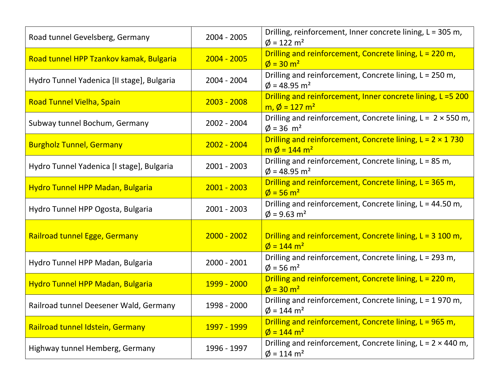| Road tunnel Gevelsberg, Germany            | 2004 - 2005         | Drilling, reinforcement, Inner concrete lining, L = 305 m,<br>$\phi$ = 122 m <sup>2</sup>         |
|--------------------------------------------|---------------------|---------------------------------------------------------------------------------------------------|
| Road tunnel HPP Tzankov kamak, Bulgaria    | $2004 - 2005$       | Drilling and reinforcement, Concrete lining, L = 220 m,<br>$\phi = 30 \text{ m}^2$                |
| Hydro Tunnel Yadenica [II stage], Bulgaria | $2004 - 2004$       | Drilling and reinforcement, Concrete lining, L = 250 m,<br>$\phi$ = 48.95 m <sup>2</sup>          |
| <b>Road Tunnel Vielha, Spain</b>           | $2003 - 2008$       | Drilling and reinforcement, Inner concrete lining, L = 5 200<br>m, $\phi = 127 \text{ m}^2$       |
| Subway tunnel Bochum, Germany              | 2002 - 2004         | Drilling and reinforcement, Concrete lining, $L = 2 \times 550$ m,<br>$\phi = 36$ m <sup>2</sup>  |
| <b>Burgholz Tunnel, Germany</b>            | $2002 - 2004$       | Drilling and reinforcement, Concrete lining, $L = 2 \times 1730$<br>$m \phi = 144 m^2$            |
| Hydro Tunnel Yadenica [I stage], Bulgaria  | $2001 - 2003$       | Drilling and reinforcement, Concrete lining, L = 85 m,<br>$\phi$ = 48.95 m <sup>2</sup>           |
| <b>Hydro Tunnel HPP Madan, Bulgaria</b>    | $2001 - 2003$       | Drilling and reinforcement, Concrete lining, L = 365 m,<br>$\phi = 56 \text{ m}^2$                |
| Hydro Tunnel HPP Ogosta, Bulgaria          | $2001 - 2003$       | Drilling and reinforcement, Concrete lining, L = 44.50 m,<br>$\phi$ = 9.63 m <sup>2</sup>         |
| Railroad tunnel Egge, Germany              | $2000 - 2002$       | Drilling and reinforcement, Concrete lining, $L = 3,100$ m,<br>$\phi = 144 \text{ m}^2$           |
| Hydro Tunnel HPP Madan, Bulgaria           | $2000 - 2001$       | Drilling and reinforcement, Concrete lining, L = 293 m,<br>$\phi$ = 56 m <sup>2</sup>             |
| <b>Hydro Tunnel HPP Madan, Bulgaria</b>    | 1999 - 2000         | Drilling and reinforcement, Concrete lining, L = 220 m,<br>$\phi = 30 \text{ m}^2$                |
| Railroad tunnel Deesener Wald, Germany     | 1998 - 2000         | Drilling and reinforcement, Concrete lining, $L = 1970$ m,<br>$\phi$ = 144 m <sup>2</sup>         |
| Railroad tunnel Idstein, Germany           | <u> 1997 - 1999</u> | Drilling and reinforcement, Concrete lining, L = 965 m,<br>$\phi = 144 \text{ m}^2$               |
| Highway tunnel Hemberg, Germany            | 1996 - 1997         | Drilling and reinforcement, Concrete lining, $L = 2 \times 440$ m,<br>$\phi$ = 114 m <sup>2</sup> |